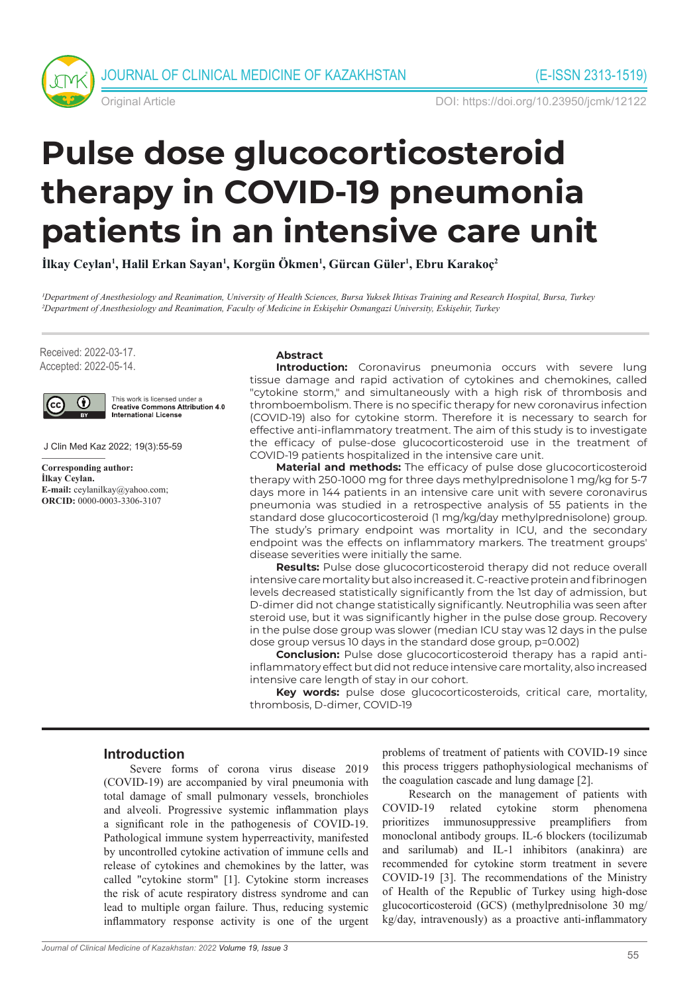



Original Article DOI: https://doi.org/10.23950/jcmk/12122

# **Pulse dose glucocorticosteroid therapy in COVID-19 pneumonia patients in an intensive care unit**

**İlkay Ceylan<sup>1</sup> , Halil Erkan Sayan<sup>1</sup> , Korgün Ökmen<sup>1</sup> , Gürcan Güler<sup>1</sup> , Ebru Karakoç<sup>2</sup>**

*1Department of Anesthesiology and Reanimation, University of Health Sciences, Bursa Yuksek Ihtisas Training and Research Hospital, Bursa, Turkey 2Department of Anesthesiology and Reanimation, Faculty of Medicine in Eskişehir Osmangazi University, Eskişehir, Turkey* 

Received: 2022-03-17. Accepted: 2022-05-14.



This work is licensed under a **Creative Commons Attribution 4.0 International License** 

J Clin Med Kaz 2022; 19(3):55-59

**Corresponding author: İlkay Ceylan. E-mail:** ceylanilkay@yahoo.com; **ORCID:** 0000-0003-3306-3107

### **Abstract**

**Introduction:** Coronavirus pneumonia occurs with severe lung tissue damage and rapid activation of cytokines and chemokines, called "cytokine storm," and simultaneously with a high risk of thrombosis and thromboembolism. There is no specific therapy for new coronavirus infection (COVID-19) also for cytokine storm. Therefore it is necessary to search for effective anti-inflammatory treatment. The aim of this study is to investigate the efficacy of pulse-dose glucocorticosteroid use in the treatment of COVID-19 patients hospitalized in the intensive care unit.

**Material and methods:** The efficacy of pulse dose glucocorticosteroid therapy with 250-1000 mg for three days methylprednisolone 1 mg/kg for 5-7 days more in 144 patients in an intensive care unit with severe coronavirus pneumonia was studied in a retrospective analysis of 55 patients in the standard dose glucocorticosteroid (1 mg/kg/day methylprednisolone) group. The study's primary endpoint was mortality in ICU, and the secondary endpoint was the effects on inflammatory markers. The treatment groups' disease severities were initially the same.

**Results:** Pulse dose glucocorticosteroid therapy did not reduce overall intensive care mortality but also increased it. C-reactive protein and fibrinogen levels decreased statistically significantly from the 1st day of admission, but D-dimer did not change statistically significantly. Neutrophilia was seen after steroid use, but it was significantly higher in the pulse dose group. Recovery in the pulse dose group was slower (median ICU stay was 12 days in the pulse dose group versus 10 days in the standard dose group, p=0.002)

**Conclusion:** Pulse dose glucocorticosteroid therapy has a rapid antiinflammatory effect but did not reduce intensive care mortality, also increased intensive care length of stay in our cohort.

**Key words:** pulse dose glucocorticosteroids, critical care, mortality, thrombosis, D-dimer, COVID-19

#### **Introduction**

Severe forms of corona virus disease 2019 (COVID-19) are accompanied by viral pneumonia with total damage of small pulmonary vessels, bronchioles and alveoli. Progressive systemic inflammation plays a significant role in the pathogenesis of COVID-19. Pathological immune system hyperreactivity, manifested by uncontrolled cytokine activation of immune cells and release of cytokines and chemokines by the latter, was called "cytokine storm" [1]. Cytokine storm increases the risk of acute respiratory distress syndrome and can lead to multiple organ failure. Thus, reducing systemic inflammatory response activity is one of the urgent problems of treatment of patients with COVID-19 since this process triggers pathophysiological mechanisms of the coagulation cascade and lung damage [2].

Research on the management of patients with COVID-19 related cytokine storm phenomena prioritizes immunosuppressive preamplifiers from monoclonal antibody groups. IL-6 blockers (tocilizumab and sarilumab) and IL-1 inhibitors (anakinra) are recommended for cytokine storm treatment in severe COVID-19 [3]. The recommendations of the Ministry of Health of the Republic of Turkey using high-dose glucocorticosteroid (GCS) (methylprednisolone 30 mg/ kg/day, intravenously) as a proactive anti-inflammatory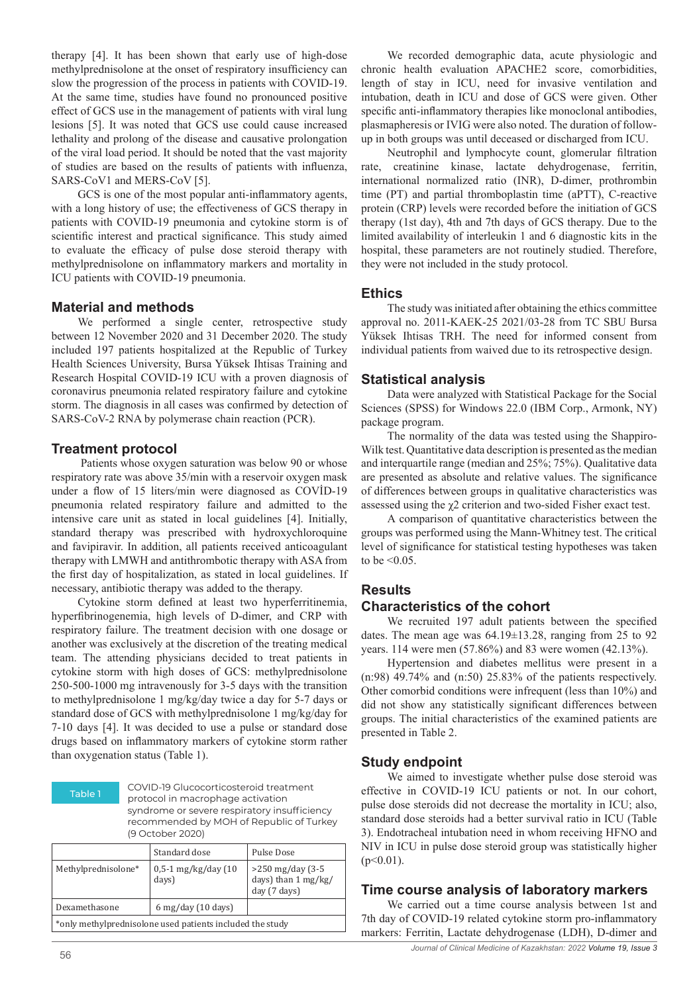therapy [4]. It has been shown that early use of high-dose methylprednisolone at the onset of respiratory insufficiency can slow the progression of the process in patients with COVID-19. At the same time, studies have found no pronounced positive effect of GCS use in the management of patients with viral lung lesions [5]. It was noted that GCS use could cause increased lethality and prolong of the disease and causative prolongation of the viral load period. It should be noted that the vast majority of studies are based on the results of patients with influenza, SARS-CoV1 and MERS-CoV [5].

GCS is one of the most popular anti-inflammatory agents, with a long history of use; the effectiveness of GCS therapy in patients with COVID-19 pneumonia and cytokine storm is of scientific interest and practical significance. This study aimed to evaluate the efficacy of pulse dose steroid therapy with methylprednisolone on inflammatory markers and mortality in ICU patients with COVID-19 pneumonia.

# **Material and methods**

We performed a single center, retrospective study between 12 November 2020 and 31 December 2020. The study included 197 patients hospitalized at the Republic of Turkey Health Sciences University, Bursa Yüksek Ihtisas Training and Research Hospital COVID-19 ICU with a proven diagnosis of coronavirus pneumonia related respiratory failure and cytokine storm. The diagnosis in all cases was confirmed by detection of SARS-CoV-2 RNA by polymerase chain reaction (PCR).

### **Treatment protocol**

 Patients whose oxygen saturation was below 90 or whose respiratory rate was above 35/min with a reservoir oxygen mask under a flow of 15 liters/min were diagnosed as COVİD-19 pneumonia related respiratory failure and admitted to the intensive care unit as stated in local guidelines [4]. Initially, standard therapy was prescribed with hydroxychloroquine and favipiravir. In addition, all patients received anticoagulant therapy with LMWH and antithrombotic therapy with ASA from the first day of hospitalization, as stated in local guidelines. If necessary, antibiotic therapy was added to the therapy.

Cytokine storm defined at least two hyperferritinemia, hyperfibrinogenemia, high levels of D-dimer, and CRP with respiratory failure. The treatment decision with one dosage or another was exclusively at the discretion of the treating medical team. The attending physicians decided to treat patients in cytokine storm with high doses of GCS: methylprednisolone 250-500-1000 mg intravenously for 3-5 days with the transition to methylprednisolone 1 mg/kg/day twice a day for 5-7 days or standard dose of GCS with methylprednisolone 1 mg/kg/day for 7-10 days [4]. It was decided to use a pulse or standard dose drugs based on inflammatory markers of cytokine storm rather than oxygenation status (Table 1).

Table 1 COVID-19 Glucocorticosteroid treatment protocol in macrophage activation syndrome or severe respiratory insufficiency recommended by MOH of Republic of Turkey (9 October 2020)

|                                                           | Standard dose                   | Pulse Dose                                                 |  |  |
|-----------------------------------------------------------|---------------------------------|------------------------------------------------------------|--|--|
| Methylprednisolone*                                       | $0,5-1$ mg/kg/day (10<br>days)  | $>250$ mg/day (3-5)<br>days) than 1 mg/kg/<br>day (7 days) |  |  |
| Dexamethasone                                             | $6 \,\mathrm{mg/day}$ (10 days) |                                                            |  |  |
| *only methylprednisolone used patients included the study |                                 |                                                            |  |  |

We recorded demographic data, acute physiologic and chronic health evaluation APACHE2 score, comorbidities, length of stay in ICU, need for invasive ventilation and intubation, death in ICU and dose of GCS were given. Other specific anti-inflammatory therapies like monoclonal antibodies, plasmapheresis or IVIG were also noted. The duration of followup in both groups was until deceased or discharged from ICU.

Neutrophil and lymphocyte count, glomerular filtration rate, creatinine kinase, lactate dehydrogenase, ferritin, international normalized ratio (INR), D-dimer, prothrombin time (PT) and partial thromboplastin time (aPTT), C-reactive protein (CRP) levels were recorded before the initiation of GCS therapy (1st day), 4th and 7th days of GCS therapy. Due to the limited availability of interleukin 1 and 6 diagnostic kits in the hospital, these parameters are not routinely studied. Therefore, they were not included in the study protocol.

### **Ethics**

The study was initiated after obtaining the ethics committee approval no. 2011-KAEK-25 2021/03-28 from TC SBU Bursa Yüksek Ihtisas TRH. The need for informed consent from individual patients from waived due to its retrospective design.

# **Statistical analysis**

Data were analyzed with Statistical Package for the Social Sciences (SPSS) for Windows 22.0 (IBM Corp., Armonk, NY) package program.

The normality of the data was tested using the Shappiro-Wilk test. Quantitative data description is presented as the median and interquartile range (median and 25%; 75%). Qualitative data are presented as absolute and relative values. The significance of differences between groups in qualitative characteristics was assessed using the χ2 criterion and two-sided Fisher exact test.

A comparison of quantitative characteristics between the groups was performed using the Mann-Whitney test. The critical level of significance for statistical testing hypotheses was taken to be  $\leq 0.05$ .

#### **Results**

# **Characteristics of the cohort**

We recruited 197 adult patients between the specified dates. The mean age was 64.19±13.28, ranging from 25 to 92 years. 114 were men (57.86%) and 83 were women (42.13%).

Hypertension and diabetes mellitus were present in a (n:98) 49.74% and (n:50) 25.83% of the patients respectively. Other comorbid conditions were infrequent (less than 10%) and did not show any statistically significant differences between groups. The initial characteristics of the examined patients are presented in Table 2.

# **Study endpoint**

We aimed to investigate whether pulse dose steroid was effective in COVID-19 ICU patients or not. In our cohort, pulse dose steroids did not decrease the mortality in ICU; also, standard dose steroids had a better survival ratio in ICU (Table 3). Endotracheal intubation need in whom receiving HFNO and NIV in ICU in pulse dose steroid group was statistically higher  $(p<0.01)$ .

#### **Time course analysis of laboratory markers**

We carried out a time course analysis between 1st and 7th day of COVID-19 related cytokine storm pro-inflammatory markers: Ferritin, Lactate dehydrogenase (LDH), D-dimer and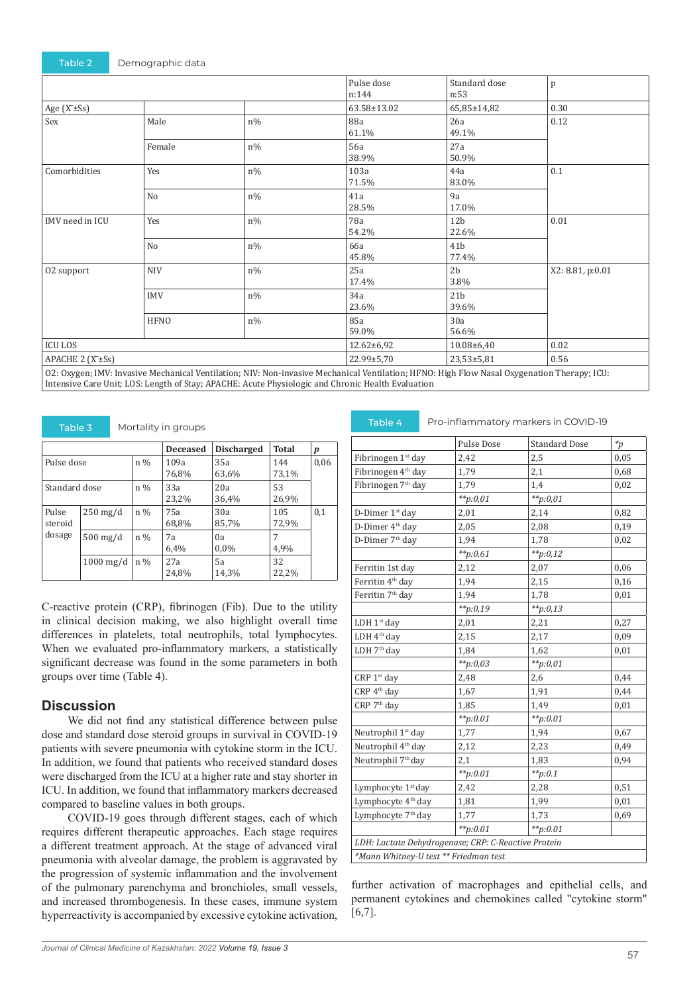|                              |             |            | Pulse dose<br>n:144                                                                                                                        | Standard dose<br>n:53    | p                |
|------------------------------|-------------|------------|--------------------------------------------------------------------------------------------------------------------------------------------|--------------------------|------------------|
| Age $(X\pm Ss)$              |             |            | 63.58±13.02                                                                                                                                | 65,85±14,82              | 0.30             |
| Sex                          | Male        | $n\%$      | 88a<br>61.1%                                                                                                                               | 26a<br>49.1%             | 0.12             |
|                              | Female      | $n\%$      | 56a<br>38.9%                                                                                                                               | 27a<br>50.9%             |                  |
| Comorbidities                | Yes         | $\rm n\%$  | 103a<br>71.5%                                                                                                                              | 44a<br>83.0%             | 0.1              |
|                              | No          | $n\%$      | 41a<br>28.5%                                                                                                                               | 9a<br>17.0%              |                  |
| IMV need in ICU              | Yes         | $n\%$      | 78a<br>54.2%                                                                                                                               | 12 <sub>b</sub><br>22.6% | 0.01             |
|                              | No          | $n\%$      | 66a<br>45.8%                                                                                                                               | 41 <sub>b</sub><br>77.4% |                  |
| 02 support                   | <b>NIV</b>  | $n\%$      | 25a<br>17.4%                                                                                                                               | 2 <sub>b</sub><br>3.8%   | X2: 8.81, p:0.01 |
|                              | <b>IMV</b>  | $n\%$      | 34a<br>23.6%                                                                                                                               | 21 <sub>b</sub><br>39.6% |                  |
|                              | <b>HFNO</b> | $n\%$      | 85a<br>59.0%                                                                                                                               | 30a<br>56.6%             |                  |
| <b>ICU LOS</b>               |             | 12.62±6,92 | 10.08±6,40                                                                                                                                 | 0.02                     |                  |
| APACHE 2 (X <sup>+</sup> Ss) |             |            | 22.99±5,70                                                                                                                                 | 23,53±5,81               | 0.56             |
|                              |             |            | 02. Ovvgon: IMV, Invasive Mechanical Ventilation: NIV, Nep invasive Mechanical Ventilation: UENO, High Flow Nasal Ovvgonation Therapy ICH. |                          |                  |

2: Oxygen; IMV: Invasive Mechanical Ventilation; NIV: Non-invasive Mechanical Ventilation; HFNO: I Intensive Care Unit; LOS: Length of Stay; APACHE: Acute Physiologic and Chronic Health Evaluation

| 190122                     |             |       |                 |                   |              |      |
|----------------------------|-------------|-------|-----------------|-------------------|--------------|------|
|                            |             |       | <b>Deceased</b> | <b>Discharged</b> | Total        | p    |
| Pulse dose                 |             | $n\%$ | 109a<br>76,8%   | 35a<br>63,6%      | 144<br>73,1% | 0,06 |
| Standard dose              |             | $n\%$ | 33a<br>23,2%    | 20a<br>36,4%      | 53<br>26,9%  |      |
| Pulse<br>steroid<br>dosage | $250$ mg/d  | $n\%$ | 75a<br>68,8%    | 30a<br>85,7%      | 105<br>72,9% | 0,1  |
|                            | $500$ mg/d  | $n\%$ | 7a<br>6,4%      | 0a<br>$0.0\%$     | 7<br>4,9%    |      |
|                            | $1000$ mg/d | $n\%$ | 27a<br>24,8%    | 5a<br>14,3%       | 32<br>22,2%  |      |

C-reactive protein (CRP), fibrinogen (Fib). Due to the utility in clinical decision making, we also highlight overall time differences in platelets, total neutrophils, total lymphocytes. When we evaluated pro-inflammatory markers, a statistically significant decrease was found in the some parameters in both groups over time (Table 4).

#### **Discussion**

We did not find any statistical difference between pulse dose and standard dose steroid groups in survival in COVID-19 patients with severe pneumonia with cytokine storm in the ICU. In addition, we found that patients who received standard doses were discharged from the ICU at a higher rate and stay shorter in ICU. In addition, we found that inflammatory markers decreased compared to baseline values in both groups.

COVID-19 goes through different stages, each of which requires different therapeutic approaches. Each stage requires a different treatment approach. At the stage of advanced viral pneumonia with alveolar damage, the problem is aggravated by the progression of systemic inflammation and the involvement of the pulmonary parenchyma and bronchioles, small vessels, and increased thrombogenesis. In these cases, immune system hyperreactivity is accompanied by excessive cytokine activation,

Mortality in groups **Pro-inflammatory markers in COVID-19** 

|                                                     | Pulse Dose   | <b>Standard Dose</b> | $\ast_p$ |
|-----------------------------------------------------|--------------|----------------------|----------|
| Fibrinogen 1 <sup>st</sup> day                      | 2,42         | 2,5                  | 0,05     |
| Fibrinogen 4 <sup>th</sup> day                      | 1,79         | 2,1                  | 0,68     |
| Fibrinogen 7 <sup>th</sup> day                      | 1,79         | 1,4                  | 0,02     |
|                                                     | $*_{p:0,01}$ | $*_{p:0,01}$         |          |
| D-Dimer 1 <sup>st</sup> day                         | 2,01         | 2,14                 | 0,82     |
| D-Dimer $4^{\rm th}$ day                            | 2,05         | 2,08                 | 0,19     |
| D-Dimer $7^{\rm th}$ day                            | 1,94         | 1,78                 | 0,02     |
|                                                     | $*_{p:0,61}$ | $*_{p:0,12}$         |          |
| Ferritin 1st day                                    | 2,12         | 2,07                 | 0,06     |
| Ferritin 4 <sup>th</sup> day                        | 1,94         | 2,15                 | 0,16     |
| Ferritin 7 <sup>th</sup> day                        | 1,94         | 1,78                 | 0,01     |
|                                                     | $*_{p:0,19}$ | $*p:0,13$            |          |
| LDH 1st day                                         | 2,01         | 2,21                 | 0,27     |
| LDH 4 <sup>th</sup> day                             | 2,15         | 2,17                 | 0,09     |
| LDH 7 <sup>th</sup> day                             | 1,84         | 1,62                 | 0,01     |
|                                                     | **p:0,03     | $*_{p:0,01}$         |          |
| CRP 1 <sup>st</sup> day                             | 2,48         | 2,6                  | 0,44     |
| CRP 4 <sup>th</sup> day                             | 1,67         | 1,91                 | 0,44     |
| CRP 7 <sup>th</sup> day                             | 1,85         | 1,49                 | 0,01     |
|                                                     | $*_{p:0.01}$ | $*_{p:0.01}$         |          |
| Neutrophil 1 <sup>st</sup> day                      | 1,77         | 1,94                 | 0,67     |
| Neutrophil 4 <sup>th</sup> day                      | 2,12         | 2,23                 | 0,49     |
| Neutrophil 7th day                                  | 2,1          | 1,83                 | 0,94     |
|                                                     | $*_{p:0.01}$ | $*_{p:0.1}$          |          |
| Lymphocyte 1 <sup>st</sup> day                      | 2,42         | 2,28                 | 0,51     |
| Lymphocyte 4 <sup>th</sup> day                      | 1,81         | 1,99                 | 0,01     |
| Lymphocyte 7 <sup>th</sup> day                      | 1,77         | 1,73                 | 0,69     |
|                                                     | $*_{p:0.01}$ | $*_{p:0.01}$         |          |
| LDH: Lactate Dehydrogenase; CRP: C-Reactive Protein |              |                      |          |
| *Mann Whitney-U test ** Friedman test               |              |                      |          |

further activation of macrophages and epithelial cells, and permanent cytokines and chemokines called "cytokine storm" [6,7].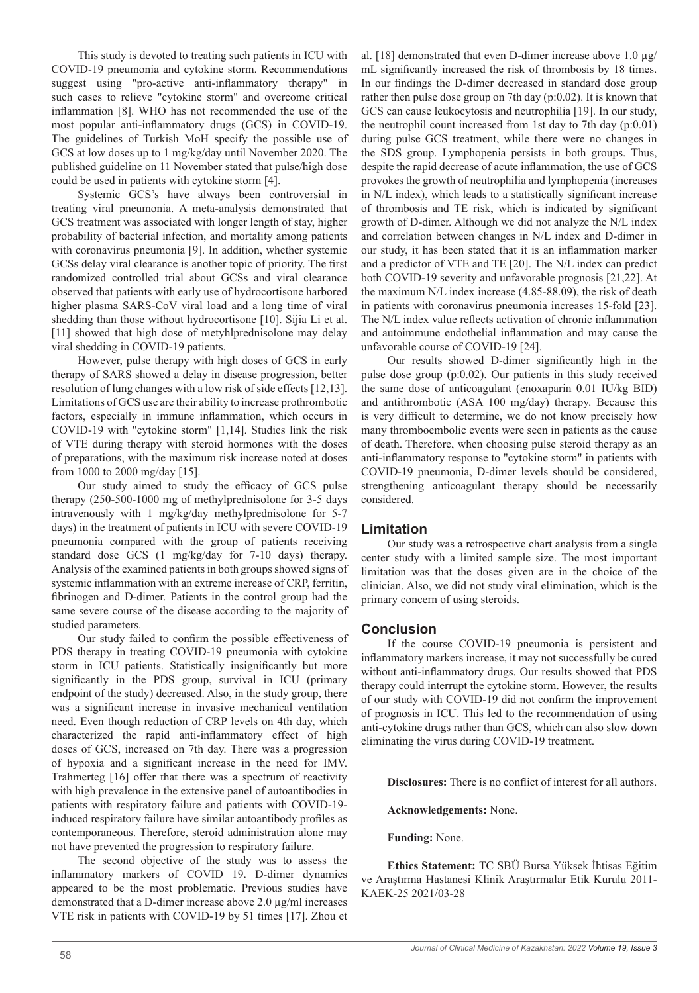This study is devoted to treating such patients in ICU with COVID-19 pneumonia and cytokine storm. Recommendations suggest using "pro-active anti-inflammatory therapy" in such cases to relieve "cytokine storm" and overcome critical inflammation [8]. WHO has not recommended the use of the most popular anti-inflammatory drugs (GCS) in COVID-19. The guidelines of Turkish MoH specify the possible use of GCS at low doses up to 1 mg/kg/day until November 2020. The published guideline on 11 November stated that pulse/high dose could be used in patients with cytokine storm [4].

Systemic GCS's have always been controversial in treating viral pneumonia. A meta-analysis demonstrated that GCS treatment was associated with longer length of stay, higher probability of bacterial infection, and mortality among patients with coronavirus pneumonia [9]. In addition, whether systemic GCSs delay viral clearance is another topic of priority. The first randomized controlled trial about GCSs and viral clearance observed that patients with early use of hydrocortisone harbored higher plasma SARS-CoV viral load and a long time of viral shedding than those without hydrocortisone [10]. Sijia Li et al. [11] showed that high dose of metyhlprednisolone may delay viral shedding in COVID-19 patients.

However, pulse therapy with high doses of GCS in early therapy of SARS showed a delay in disease progression, better resolution of lung changes with a low risk of side effects [12,13]. Limitations of GCS use are their ability to increase prothrombotic factors, especially in immune inflammation, which occurs in COVID-19 with "cytokine storm" [1,14]. Studies link the risk of VTE during therapy with steroid hormones with the doses of preparations, with the maximum risk increase noted at doses from 1000 to 2000 mg/day [15].

Our study aimed to study the efficacy of GCS pulse therapy (250-500-1000 mg of methylprednisolone for 3-5 days intravenously with 1 mg/kg/day methylprednisolone for 5-7 days) in the treatment of patients in ICU with severe COVID-19 pneumonia compared with the group of patients receiving standard dose GCS (1 mg/kg/day for 7-10 days) therapy. Analysis of the examined patients in both groups showed signs of systemic inflammation with an extreme increase of CRP, ferritin, fibrinogen and D-dimer. Patients in the control group had the same severe course of the disease according to the majority of studied parameters.

Our study failed to confirm the possible effectiveness of PDS therapy in treating COVID-19 pneumonia with cytokine storm in ICU patients. Statistically insignificantly but more significantly in the PDS group, survival in ICU (primary endpoint of the study) decreased. Also, in the study group, there was a significant increase in invasive mechanical ventilation need. Even though reduction of CRP levels on 4th day, which characterized the rapid anti-inflammatory effect of high doses of GCS, increased on 7th day. There was a progression of hypoxia and a significant increase in the need for IMV. Trahmerteg [16] offer that there was a spectrum of reactivity with high prevalence in the extensive panel of autoantibodies in patients with respiratory failure and patients with COVID-19 induced respiratory failure have similar autoantibody profiles as contemporaneous. Therefore, steroid administration alone may not have prevented the progression to respiratory failure.

The second objective of the study was to assess the inflammatory markers of COVİD 19. D-dimer dynamics appeared to be the most problematic. Previous studies have demonstrated that a D-dimer increase above 2.0 µg/ml increases VTE risk in patients with COVID-19 by 51 times [17]. Zhou et

al. [18] demonstrated that even D-dimer increase above  $1.0 \mu$ g/ mL significantly increased the risk of thrombosis by 18 times. In our findings the D-dimer decreased in standard dose group rather then pulse dose group on 7th day (p:0.02). It is known that GCS can cause leukocytosis and neutrophilia [19]. In our study, the neutrophil count increased from 1st day to 7th day (p:0.01) during pulse GCS treatment, while there were no changes in the SDS group. Lymphopenia persists in both groups. Thus, despite the rapid decrease of acute inflammation, the use of GCS provokes the growth of neutrophilia and lymphopenia (increases in N/L index), which leads to a statistically significant increase of thrombosis and TE risk, which is indicated by significant growth of D-dimer. Although we did not analyze the N/L index and correlation between changes in N/L index and D-dimer in our study, it has been stated that it is an inflammation marker and a predictor of VTE and TE [20]. The N/L index can predict both COVID-19 severity and unfavorable prognosis [21,22]. At the maximum N/L index increase (4.85-88.09), the risk of death in patients with coronavirus pneumonia increases 15-fold [23]. The N/L index value reflects activation of chronic inflammation and autoimmune endothelial inflammation and may cause the unfavorable course of COVID-19 [24].

Our results showed D-dimer significantly high in the pulse dose group (p:0.02). Our patients in this study received the same dose of anticoagulant (enoxaparin 0.01 IU/kg BID) and antithrombotic (ASA 100 mg/day) therapy. Because this is very difficult to determine, we do not know precisely how many thromboembolic events were seen in patients as the cause of death. Therefore, when choosing pulse steroid therapy as an anti-inflammatory response to "cytokine storm" in patients with COVID-19 pneumonia, D-dimer levels should be considered, strengthening anticoagulant therapy should be necessarily considered.

# **Limitation**

Our study was a retrospective chart analysis from a single center study with a limited sample size. The most important limitation was that the doses given are in the choice of the clinician. Also, we did not study viral elimination, which is the primary concern of using steroids.

# **Conclusion**

If the course COVID-19 pneumonia is persistent and inflammatory markers increase, it may not successfully be cured without anti-inflammatory drugs. Our results showed that PDS therapy could interrupt the cytokine storm. However, the results of our study with COVID-19 did not confirm the improvement of prognosis in ICU. This led to the recommendation of using anti-cytokine drugs rather than GCS, which can also slow down eliminating the virus during COVID-19 treatment.

**Disclosures:** There is no conflict of interest for all authors.

**Acknowledgements:** None.

**Funding:** None.

**Ethics Statement:** TC SBÜ Bursa Yüksek İhtisas Eğitim ve Araştırma Hastanesi Klinik Araştırmalar Etik Kurulu 2011- KAEK-25 2021/03-28